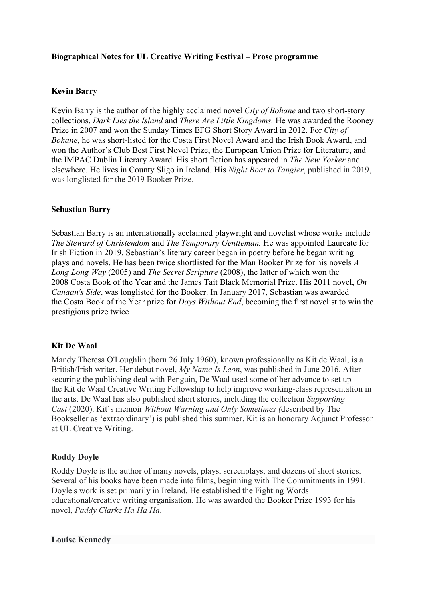## Biographical Notes for UL Creative Writing Festival – Prose programme

# Kevin Barry

Kevin Barry is the author of the highly acclaimed novel *City of Bohane* and two short-story collections, Dark Lies the Island and There Are Little Kingdoms. He was awarded the Rooney Prize in 2007 and won the Sunday Times EFG Short Story Award in 2012. For City of Bohane, he was short-listed for the Costa First Novel Award and the Irish Book Award, and won the Author's Club Best First Novel Prize, the European Union Prize for Literature, and the IMPAC Dublin Literary Award. His short fiction has appeared in The New Yorker and elsewhere. He lives in County Sligo in Ireland. His Night Boat to Tangier, published in 2019, was longlisted for the 2019 Booker Prize.

### Sebastian Barry

Sebastian Barry is an internationally acclaimed playwright and novelist whose works include The Steward of Christendom and The Temporary Gentleman. He was appointed Laureate for Irish Fiction in 2019. Sebastian's literary career began in poetry before he began writing plays and novels. He has been twice shortlisted for the Man Booker Prize for his novels A Long Long Way (2005) and The Secret Scripture (2008), the latter of which won the 2008 Costa Book of the Year and the James Tait Black Memorial Prize. His 2011 novel,  $On$ Canaan's Side, was longlisted for the Booker. In January 2017, Sebastian was awarded the Costa Book of the Year prize for *Days Without End*, becoming the first novelist to win the prestigious prize twice

### Kit De Waal

Mandy Theresa O'Loughlin (born 26 July 1960), known professionally as Kit de Waal, is a British/Irish writer. Her debut novel, My Name Is Leon, was published in June 2016. After securing the publishing deal with Penguin, De Waal used some of her advance to set up the Kit de Waal Creative Writing Fellowship to help improve working-class representation in the arts. De Waal has also published short stories, including the collection Supporting Cast (2020). Kit's memoir Without Warning and Only Sometimes (described by The Bookseller as 'extraordinary') is published this summer. Kit is an honorary Adjunct Professor at UL Creative Writing.

### Roddy Doyle

Roddy Doyle is the author of many novels, plays, screenplays, and dozens of short stories. Several of his books have been made into films, beginning with The Commitments in 1991. Doyle's work is set primarily in Ireland. He established the Fighting Words educational/creative writing organisation. He was awarded the Booker Prize 1993 for his novel, Paddy Clarke Ha Ha Ha.

#### Louise Kennedy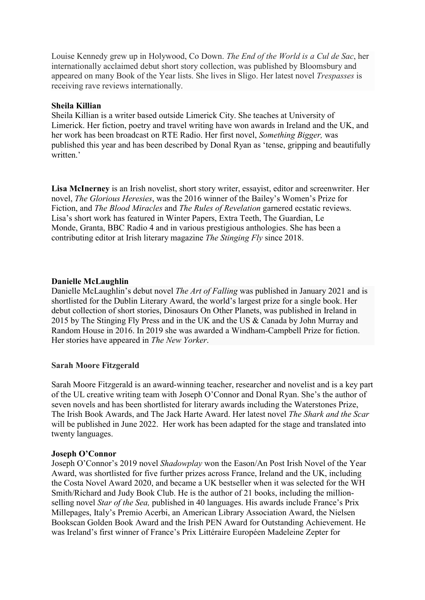Louise Kennedy grew up in Holywood, Co Down. The End of the World is a Cul de Sac, her internationally acclaimed debut short story collection, was published by Bloomsbury and appeared on many Book of the Year lists. She lives in Sligo. Her latest novel Trespasses is receiving rave reviews internationally.

#### Sheila Killian

Sheila Killian is a writer based outside Limerick City. She teaches at University of Limerick. Her fiction, poetry and travel writing have won awards in Ireland and the UK, and her work has been broadcast on RTE Radio. Her first novel, Something Bigger, was published this year and has been described by Donal Ryan as 'tense, gripping and beautifully written.'

Lisa McInerney is an Irish novelist, short story writer, essayist, editor and screenwriter. Her novel, The Glorious Heresies, was the 2016 winner of the Bailey's Women's Prize for Fiction, and The Blood Miracles and The Rules of Revelation garnered ecstatic reviews. Lisa's short work has featured in Winter Papers, Extra Teeth, The Guardian, Le Monde, Granta, BBC Radio 4 and in various prestigious anthologies. She has been a contributing editor at Irish literary magazine The Stinging Fly since 2018.

### Danielle McLaughlin

Danielle McLaughlin's debut novel *The Art of Falling* was published in January 2021 and is shortlisted for the Dublin Literary Award, the world's largest prize for a single book. Her debut collection of short stories, Dinosaurs On Other Planets, was published in Ireland in 2015 by The Stinging Fly Press and in the UK and the US & Canada by John Murray and Random House in 2016. In 2019 she was awarded a Windham-Campbell Prize for fiction. Her stories have appeared in The New Yorker.

### Sarah Moore Fitzgerald

Sarah Moore Fitzgerald is an award-winning teacher, researcher and novelist and is a key part of the UL creative writing team with Joseph O'Connor and Donal Ryan. She's the author of seven novels and has been shortlisted for literary awards including the Waterstones Prize, The Irish Book Awards, and The Jack Harte Award. Her latest novel The Shark and the Scar will be published in June 2022. Her work has been adapted for the stage and translated into twenty languages.

#### Joseph O'Connor

Joseph O'Connor's 2019 novel Shadowplay won the Eason/An Post Irish Novel of the Year Award, was shortlisted for five further prizes across France, Ireland and the UK, including the Costa Novel Award 2020, and became a UK bestseller when it was selected for the WH Smith/Richard and Judy Book Club. He is the author of 21 books, including the millionselling novel Star of the Sea, published in 40 languages. His awards include France's Prix Millepages, Italy's Premio Acerbi, an American Library Association Award, the Nielsen Bookscan Golden Book Award and the Irish PEN Award for Outstanding Achievement. He was Ireland's first winner of France's Prix Littéraire Européen Madeleine Zepter for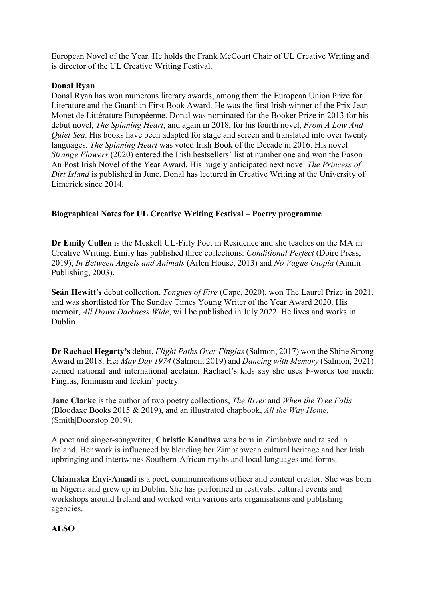European Novel of the Year. He holds the Frank McCourt Chair of UL Creative Writing and is director of the UL Creative Writing Festival.

### Donal Ryan

Donal Ryan has won numerous literary awards, among them the European Union Prize for Literature and the Guardian First Book Award. He was the first Irish winner of the Prix Jean Monet de Littérature Européenne. Donal was nominated for the Booker Prize in 2013 for his debut novel, The Spinning Heart, and again in 2018, for his fourth novel, From A Low And Quiet Sea. His books have been adapted for stage and screen and translated into over twenty languages. The Spinning Heart was voted Irish Book of the Decade in 2016. His novel Strange Flowers (2020) entered the Irish bestsellers' list at number one and won the Eason An Post Irish Novel of the Year Award. His hugely anticipated next novel The Princess of Dirt Island is published in June. Donal has lectured in Creative Writing at the University of Limerick since 2014.

## Biographical Notes for UL Creative Writing Festival – Poetry programme

Dr Emily Cullen is the Meskell UL-Fifty Poet in Residence and she teaches on the MA in Creative Writing. Emily has published three collections: Conditional Perfect (Doire Press, 2019), In Between Angels and Animals (Arlen House, 2013) and No Vague Utopia (Ainnir Publishing, 2003).

Seán Hewitt's debut collection, *Tongues of Fire* (Cape, 2020), won The Laurel Prize in 2021, and was shortlisted for The Sunday Times Young Writer of the Year Award 2020. His memoir, All Down Darkness Wide, will be published in July 2022. He lives and works in Dublin.

Dr Rachael Hegarty's debut, Flight Paths Over Finglas (Salmon, 2017) won the Shine Strong Award in 2018. Her May Day 1974 (Salmon, 2019) and Dancing with Memory (Salmon, 2021) earned national and international acclaim. Rachael's kids say she uses F-words too much: Finglas, feminism and feckin' poetry.

**Jane Clarke** is the author of two poetry collections, The River and When the Tree Falls (Bloodaxe Books 2015 & 2019), and an illustrated chapbook, All the Way Home, (Smith|Doorstop 2019).

A poet and singer-songwriter, Christie Kandiwa was born in Zimbabwe and raised in Ireland. Her work is influenced by blending her Zimbabwean cultural heritage and her Irish upbringing and intertwines Southern-African myths and local languages and forms.

Chiamaka Enyi-Amadi is a poet, communications officer and content creator. She was born in Nigeria and grew up in Dublin. She has performed in festivals, cultural events and workshops around Ireland and worked with various arts organisations and publishing agencies.

# ALSO